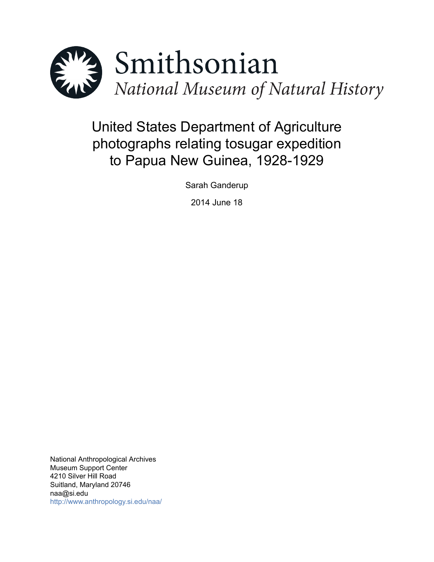

# United States Department of Agriculture photographs relating tosugar expedition to Papua New Guinea, 1928-1929

Sarah Ganderup

2014 June 18

National Anthropological Archives Museum Support Center 4210 Silver Hill Road Suitland, Maryland 20746 naa@si.edu <http://www.anthropology.si.edu/naa/>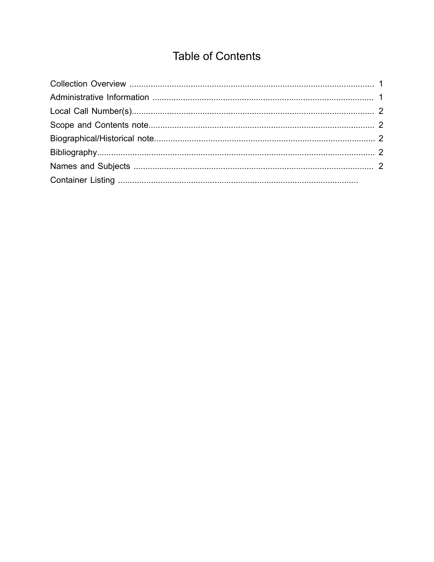## **Table of Contents**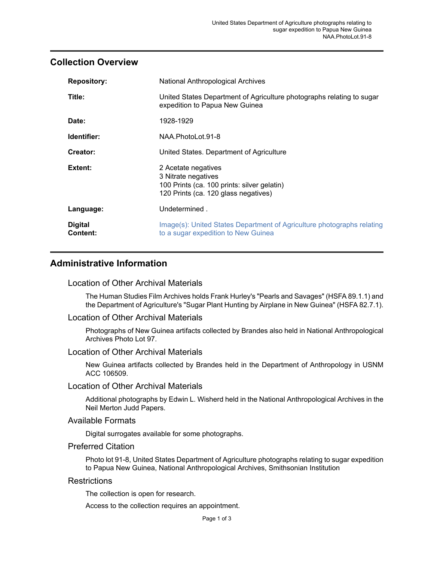## <span id="page-2-0"></span>**Collection Overview**

| <b>Repository:</b>         | National Anthropological Archives                                                                                                 |
|----------------------------|-----------------------------------------------------------------------------------------------------------------------------------|
| Title:                     | United States Department of Agriculture photographs relating to sugar<br>expedition to Papua New Guinea                           |
| Date:                      | 1928-1929                                                                                                                         |
| Identifier:                | NAA.PhotoLot.91-8                                                                                                                 |
| Creator:                   | United States. Department of Agriculture                                                                                          |
| Extent:                    | 2 Acetate negatives<br>3 Nitrate negatives<br>100 Prints (ca. 100 prints: silver gelatin)<br>120 Prints (ca. 120 glass negatives) |
| Language:                  | Undetermined.                                                                                                                     |
| <b>Digital</b><br>Content: | Image(s): United States Department of Agriculture photographs relating<br>to a sugar expedition to New Guinea                     |

## <span id="page-2-1"></span>**Administrative Information**

#### Location of Other Archival Materials

The Human Studies Film Archives holds Frank Hurley's "Pearls and Savages" (HSFA 89.1.1) and the Department of Agriculture's "Sugar Plant Hunting by Airplane in New Guinea" (HSFA 82.7.1).

#### Location of Other Archival Materials

Photographs of New Guinea artifacts collected by Brandes also held in National Anthropological Archives Photo Lot 97.

#### Location of Other Archival Materials

New Guinea artifacts collected by Brandes held in the Department of Anthropology in USNM ACC 106509.

#### Location of Other Archival Materials

Additional photographs by Edwin L. Wisherd held in the National Anthropological Archives in the Neil Merton Judd Papers.

#### Available Formats

Digital surrogates available for some photographs.

#### Preferred Citation

Photo lot 91-8, United States Department of Agriculture photographs relating to sugar expedition to Papua New Guinea, National Anthropological Archives, Smithsonian Institution

#### **Restrictions**

The collection is open for research.

Access to the collection requires an appointment.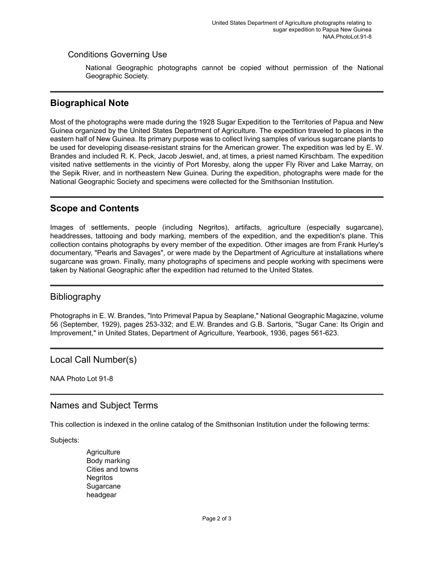### Conditions Governing Use

National Geographic photographs cannot be copied without permission of the National Geographic Society.

## <span id="page-3-2"></span>**Biographical Note**

Most of the photographs were made during the 1928 Sugar Expedition to the Territories of Papua and New Guinea organized by the United States Department of Agriculture. The expedition traveled to places in the eastern half of New Guinea. Its primary purpose was to collect living samples of various sugarcane plants to be used for developing disease-resistant strains for the American grower. The expedition was led by E. W. Brandes and included R. K. Peck, Jacob Jeswiet, and, at times, a priest named Kirschbam. The expedition visited native settlements in the vicintiy of Port Moresby, along the upper Fly River and Lake Marray, on the Sepik River, and in northeastern New Guinea. During the expedition, photographs were made for the National Geographic Society and specimens were collected for the Smithsonian Institution.

## <span id="page-3-1"></span>**Scope and Contents**

Images of settlements, people (including Negritos), artifacts, agriculture (especially sugarcane), headdresses, tattooing and body marking, members of the expedition, and the expedition's plane. This collection contains photographs by every member of the expedition. Other images are from Frank Hurley's documentary, "Pearls and Savages", or were made by the Department of Agriculture at installations where sugarcane was grown. Finally, many photographs of specimens and people working with specimens were taken by National Geographic after the expedition had returned to the United States.

## <span id="page-3-3"></span>Bibliography

Photographs in E. W. Brandes, "Into Primeval Papua by Seaplane," National Geographic Magazine, volume 56 (September, 1929), pages 253-332; and E.W. Brandes and G.B. Sartoris, "Sugar Cane: Its Origin and Improvement," in United States, Department of Agriculture, Yearbook, 1936, pages 561-623.

<span id="page-3-0"></span>Local Call Number(s)

NAA Photo Lot 91-8

## <span id="page-3-4"></span>Names and Subject Terms

This collection is indexed in the online catalog of the Smithsonian Institution under the following terms:

Subjects:

**Agriculture** Body marking Cities and towns **Negritos Sugarcane** headgear